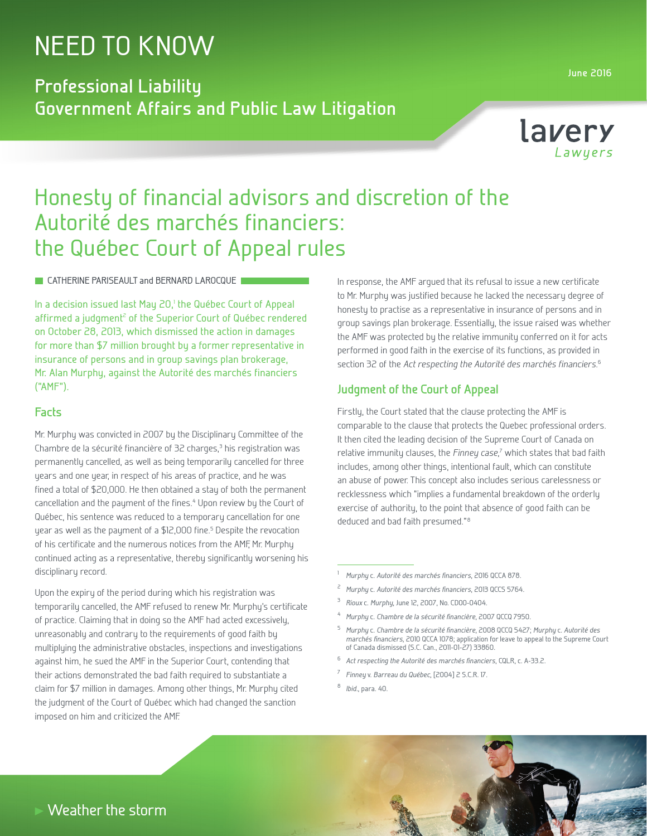# NEED TO KNOW

**Professional Liability Government Affairs and Public Law Litigation**



# Honesty of financial advisors and discretion of the Autorité des marchés financiers: the Québec Court of Appeal rules

**CATHERINE PARISEAULT and BERNARD LAROCQUE** 

In a decision issued last May 20,<sup>1</sup> the Québec Court of Appeal affirmed a judgment<sup>2</sup> of the Superior Court of Québec rendered on October 28, 2013, which dismissed the action in damages for more than \$7 million brought by a former representative in insurance of persons and in group savings plan brokerage, Mr. Alan Murphy, against the Autorité des marchés financiers ("AMF").

## **Facts**

Mr. Murphy was convicted in 2007 by the Disciplinary Committee of the Chambre de la sécurité financière of 32 charges,<sup>3</sup> his registration was permanently cancelled, as well as being temporarily cancelled for three years and one year, in respect of his areas of practice, and he was fined a total of \$20,000. He then obtained a stay of both the permanent cancellation and the payment of the fines.<sup>4</sup> Upon review by the Court of Québec, his sentence was reduced to a temporary cancellation for one year as well as the payment of a \$12,000 fine.<sup>5</sup> Despite the revocation of his certificate and the numerous notices from the AMF, Mr. Murphy continued acting as a representative, thereby significantly worsening his disciplinary record.

Upon the expiry of the period during which his registration was temporarily cancelled, the AMF refused to renew Mr. Murphy's certificate of practice. Claiming that in doing so the AMF had acted excessively, unreasonably and contrary to the requirements of good faith by multiplying the administrative obstacles, inspections and investigations against him, he sued the AMF in the Superior Court, contending that their actions demonstrated the bad faith required to substantiate a claim for \$7 million in damages. Among other things, Mr. Murphy cited the judgment of the Court of Québec which had changed the sanction imposed on him and criticized the AMF.

In response, the AMF argued that its refusal to issue a new certificate to Mr. Murphy was justified because he lacked the necessary degree of honesty to practise as a representative in insurance of persons and in group savings plan brokerage. Essentially, the issue raised was whether the AMF was protected by the relative immunity conferred on it for acts performed in good faith in the exercise of its functions, as provided in section 32 of the *Act respecting the Autorité des marchés financiers*. 6

## **Judgment of the Court of Appeal**

Firstly, the Court stated that the clause protecting the AMF is comparable to the clause that protects the Quebec professional orders. It then cited the leading decision of the Supreme Court of Canada on relative immunity clauses, the *Finney case*,<sup>7</sup> which states that bad faith includes, among other things, intentional fault, which can constitute an abuse of power. This concept also includes serious carelessness or recklessness which "implies a fundamental breakdown of the orderly exercise of authority, to the point that absence of good faith can be deduced and bad faith presumed."<sup>8</sup>

- <sup>2</sup> *Murphy* c. *Autorité des marchés financiers*, 2013 QCCS 5764.
- <sup>3</sup> *Rioux* c. *Murphy*, June 12, 2007, No. CD00-0404.
- <sup>4</sup> *Murphy* c. *Chambre de la sécurité financière*, 2007 QCCQ 7950.

- <sup>6</sup> *Act respecting the Autorité des marchés financiers*, CQLR, c. A-33.2.
- <sup>7</sup> *Finney* v. *Barreau du Québec*, [2004] 2 S.C.R. 17.
- <sup>8</sup> *Ibid.*, para. 40.



<sup>1</sup>*Murphy* c. *Autorité des marchés financiers*, 2016 QCCA 878.

<sup>5</sup> *Murphy* c. *Chambre de la sécurité financière*, 2008 QCCQ 5427; *Murphy* c. *Autorité des marchés financiers*, 2010 QCCA 1078; application for leave to appeal to the Supreme Court of Canada dismissed (S.C. Can., 2011-01-27) 33860.